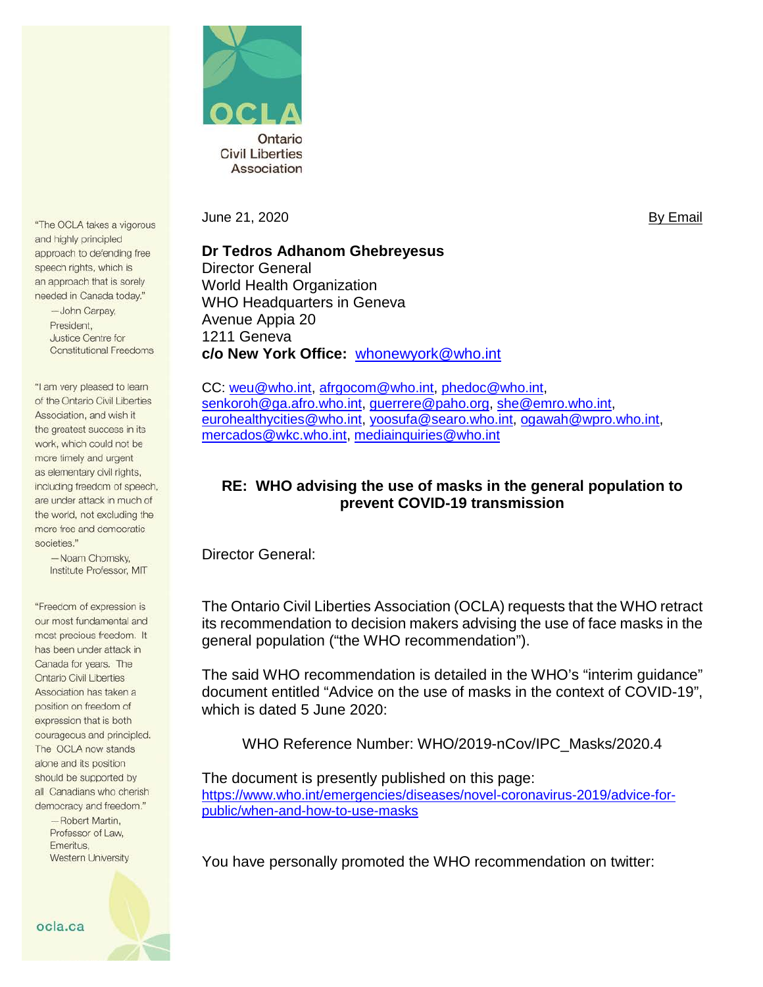

"The OCLA takes a vigorous and highly principled approach to defending free speech rights, which is an approach that is sorely needed in Canada today."

> -John Carpay, President. Justice Centre for **Constitutional Freedoms**

"I am very pleased to learn of the Ontario Civil Liberties Association, and wish it the greatest success in its work, which could not be more timely and urgent as elementary civil rights, including freedom of speech, are under attack in much of the world, not excluding the more free and democratic societies."

> -Noam Chomsky, Institute Professor, MIT

"Freedom of expression is our most fundamental and most precious freedom. It has been under attack in Canada for years. The **Ontario Civil Liberties** Association has taken a position on freedom of expression that is both courageous and principled. The OCLA now stands alone and its position should be supported by all Canadians who cherish democracy and freedom." -Robert Martin. Professor of Law. Emeritus. **Western University** 

June 21, 2020 **By Email** 

**Dr Tedros Adhanom Ghebreyesus** Director General World Health Organization WHO Headquarters in Geneva Avenue Appia 20 1211 Geneva **c/o New York Office:** [whonewyork@who.int](mailto:whonewyork@who.int)

CC: [weu@who.int,](mailto:weu@who.int) [afrgocom@who.int,](mailto:afrgocom@who.int) [phedoc@who.int,](mailto:phedoc@who.int) [senkoroh@ga.afro.who.int,](mailto:senkoroh@ga.afro.who.int) [guerrere@paho.org,](mailto:guerrere@paho.org) [she@emro.who.int,](mailto:she@emro.who.int) [eurohealthycities@who.int,](mailto:eurohealthycities@who.int) [yoosufa@searo.who.int,](mailto:yoosufa@searo.who.int) [ogawah@wpro.who.int,](mailto:ogawah@wpro.who.int) [mercados@wkc.who.int,](mailto:mercados@wkc.who.int) [mediainquiries@who.int](mailto:mediainquiries@who.int)

## **RE: WHO advising the use of masks in the general population to prevent COVID-19 transmission**

Director General:

The Ontario Civil Liberties Association (OCLA) requests that the WHO retract its recommendation to decision makers advising the use of face masks in the general population ("the WHO recommendation").

The said WHO recommendation is detailed in the WHO's "interim guidance" document entitled "Advice on the use of masks in the context of COVID-19", which is dated 5 June 2020:

WHO Reference Number: WHO/2019-nCov/IPC\_Masks/2020.4

The document is presently published on this page: [https://www.who.int/emergencies/diseases/novel-coronavirus-2019/advice-for](https://www.who.int/emergencies/diseases/novel-coronavirus-2019/advice-for-public/when-and-how-to-use-masks)[public/when-and-how-to-use-masks](https://www.who.int/emergencies/diseases/novel-coronavirus-2019/advice-for-public/when-and-how-to-use-masks)

You have personally promoted the WHO recommendation on twitter: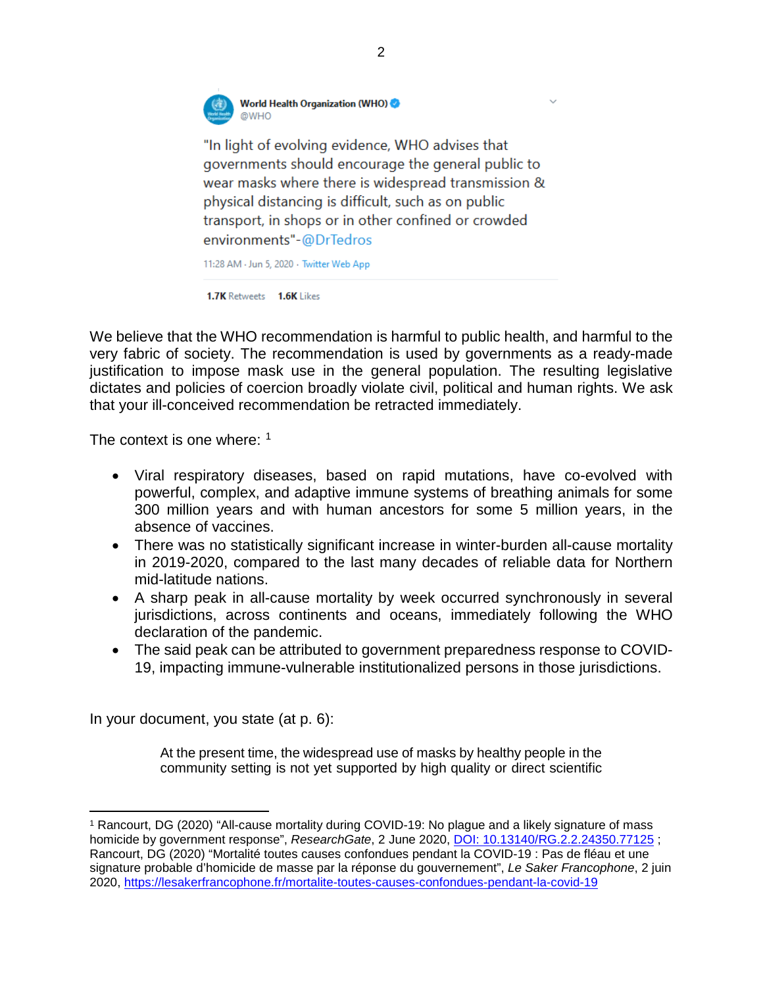

"In light of evolving evidence, WHO advises that governments should encourage the general public to wear masks where there is widespread transmission & physical distancing is difficult, such as on public transport, in shops or in other confined or crowded environments"-@DrTedros

11:28 AM · Jun 5, 2020 · Twitter Web App

**1.7K Retweets 1.6K Likes** 

We believe that the WHO recommendation is harmful to public health, and harmful to the very fabric of society. The recommendation is used by governments as a ready-made justification to impose mask use in the general population. The resulting legislative dictates and policies of coercion broadly violate civil, political and human rights. We ask that your ill-conceived recommendation be retracted immediately.

The context is one where: <sup>[1](#page-1-0)</sup>

- Viral respiratory diseases, based on rapid mutations, have co-evolved with powerful, complex, and adaptive immune systems of breathing animals for some 300 million years and with human ancestors for some 5 million years, in the absence of vaccines.
- There was no statistically significant increase in winter-burden all-cause mortality in 2019-2020, compared to the last many decades of reliable data for Northern mid-latitude nations.
- A sharp peak in all-cause mortality by week occurred synchronously in several jurisdictions, across continents and oceans, immediately following the WHO declaration of the pandemic.
- The said peak can be attributed to government preparedness response to COVID-19, impacting immune-vulnerable institutionalized persons in those jurisdictions.

In your document, you state (at p. 6):

l

At the present time, the widespread use of masks by healthy people in the community setting is not yet supported by high quality or direct scientific

<span id="page-1-0"></span><sup>1</sup> Rancourt, DG (2020) "All-cause mortality during COVID-19: No plague and a likely signature of mass homicide by government response", *ResearchGate*, 2 June 2020, [DOI: 10.13140/RG.2.2.24350.77125](https://www.researchgate.net/publication/341832637_All-cause_mortality_during_COVID-19_No_plague_and_a_likely_signature_of_mass_homicide_by_government_response) ; Rancourt, DG (2020) "Mortalité toutes causes confondues pendant la COVID-19 : Pas de fléau et une signature probable d'homicide de masse par la réponse du gouvernement", *Le Saker Francophone*, 2 juin 2020,<https://lesakerfrancophone.fr/mortalite-toutes-causes-confondues-pendant-la-covid-19>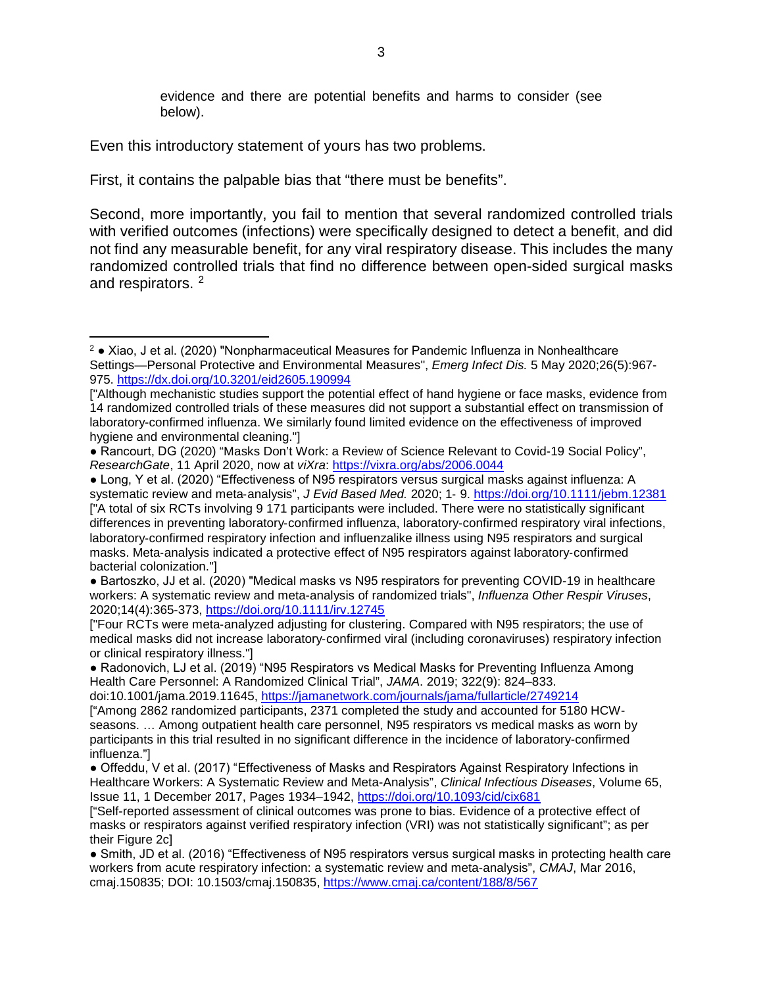evidence and there are potential benefits and harms to consider (see below).

Even this introductory statement of yours has two problems.

 $\overline{a}$ 

First, it contains the palpable bias that "there must be benefits".

Second, more importantly, you fail to mention that several randomized controlled trials with verified outcomes (infections) were specifically designed to detect a benefit, and did not find any measurable benefit, for any viral respiratory disease. This includes the many randomized controlled trials that find no difference between open-sided surgical masks and respirators. [2](#page-2-0)

doi:10.1001/jama.2019.11645,<https://jamanetwork.com/journals/jama/fullarticle/2749214>

<span id="page-2-0"></span> $2 \cdot$  Xiao, J et al. (2020) "Nonpharmaceutical Measures for Pandemic Influenza in Nonhealthcare Settings—Personal Protective and Environmental Measures", *Emerg Infect Dis.* 5 May 2020;26(5):967- 975.<https://dx.doi.org/10.3201/eid2605.190994>

<sup>[&</sup>quot;Although mechanistic studies support the potential effect of hand hygiene or face masks, evidence from 14 randomized controlled trials of these measures did not support a substantial effect on transmission of laboratory-confirmed influenza. We similarly found limited evidence on the effectiveness of improved hygiene and environmental cleaning."]

<sup>●</sup> Rancourt, DG (2020) "Masks Don't Work: a Review of Science Relevant to Covid-19 Social Policy", *ResearchGate*, 11 April 2020, now at *viXra*:<https://vixra.org/abs/2006.0044>

<sup>●</sup> Long, Y et al. (2020) "Effectiveness of N95 respirators versus surgical masks against influenza: A systematic review and meta‐analysis", *J Evid Based Med.* 2020; 1‐ 9.<https://doi.org/10.1111/jebm.12381> ["A total of six RCTs involving 9 171 participants were included. There were no statistically significant differences in preventing laboratory‐confirmed influenza, laboratory‐confirmed respiratory viral infections, laboratory‐confirmed respiratory infection and influenzalike illness using N95 respirators and surgical masks. Meta‐analysis indicated a protective effect of N95 respirators against laboratory‐confirmed bacterial colonization."]

<sup>●</sup> Bartoszko, JJ et al. (2020) "Medical masks vs N95 respirators for preventing COVID-19 in healthcare workers: A systematic review and meta-analysis of randomized trials", *Influenza Other Respir Viruses*, 2020;14(4):365-373,<https://doi.org/10.1111/irv.12745>

<sup>[&</sup>quot;Four RCTs were meta‐analyzed adjusting for clustering. Compared with N95 respirators; the use of medical masks did not increase laboratory‐confirmed viral (including coronaviruses) respiratory infection or clinical respiratory illness."]

<sup>●</sup> Radonovich, LJ et al. (2019) "N95 Respirators vs Medical Masks for Preventing Influenza Among Health Care Personnel: A Randomized Clinical Trial", *JAMA*. 2019; 322(9): 824–833.

<sup>[&</sup>quot;Among 2862 randomized participants, 2371 completed the study and accounted for 5180 HCWseasons. … Among outpatient health care personnel, N95 respirators vs medical masks as worn by participants in this trial resulted in no significant difference in the incidence of laboratory-confirmed influenza."]

<sup>●</sup> Offeddu, V et al. (2017) "Effectiveness of Masks and Respirators Against Respiratory Infections in Healthcare Workers: A Systematic Review and Meta-Analysis", *Clinical Infectious Diseases*, Volume 65, Issue 11, 1 December 2017, Pages 1934–1942,<https://doi.org/10.1093/cid/cix681>

<sup>[&</sup>quot;Self-reported assessment of clinical outcomes was prone to bias. Evidence of a protective effect of masks or respirators against verified respiratory infection (VRI) was not statistically significant"; as per their Figure 2c1

<sup>●</sup> Smith, JD et al. (2016) "Effectiveness of N95 respirators versus surgical masks in protecting health care workers from acute respiratory infection: a systematic review and meta-analysis", *CMAJ*, Mar 2016, cmaj.150835; DOI: 10.1503/cmaj.150835,<https://www.cmaj.ca/content/188/8/567>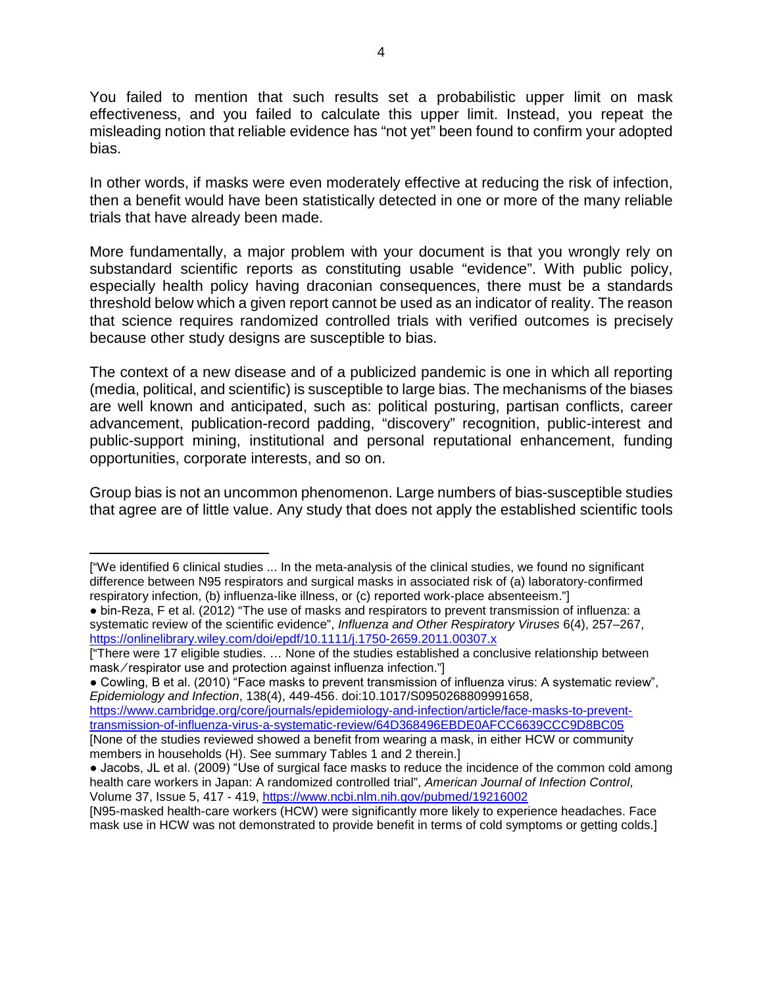You failed to mention that such results set a probabilistic upper limit on mask effectiveness, and you failed to calculate this upper limit. Instead, you repeat the misleading notion that reliable evidence has "not yet" been found to confirm your adopted bias.

In other words, if masks were even moderately effective at reducing the risk of infection, then a benefit would have been statistically detected in one or more of the many reliable trials that have already been made.

More fundamentally, a major problem with your document is that you wrongly rely on substandard scientific reports as constituting usable "evidence". With public policy, especially health policy having draconian consequences, there must be a standards threshold below which a given report cannot be used as an indicator of reality. The reason that science requires randomized controlled trials with verified outcomes is precisely because other study designs are susceptible to bias.

The context of a new disease and of a publicized pandemic is one in which all reporting (media, political, and scientific) is susceptible to large bias. The mechanisms of the biases are well known and anticipated, such as: political posturing, partisan conflicts, career advancement, publication-record padding, "discovery" recognition, public-interest and public-support mining, institutional and personal reputational enhancement, funding opportunities, corporate interests, and so on.

Group bias is not an uncommon phenomenon. Large numbers of bias-susceptible studies that agree are of little value. Any study that does not apply the established scientific tools

[https://www.cambridge.org/core/journals/epidemiology-and-infection/article/face-masks-to-prevent](https://www.cambridge.org/core/journals/epidemiology-and-infection/article/face-masks-to-prevent-transmission-of-influenza-virus-a-systematic-review/64D368496EBDE0AFCC6639CCC9D8BC05)[transmission-of-influenza-virus-a-systematic-review/64D368496EBDE0AFCC6639CCC9D8BC05](https://www.cambridge.org/core/journals/epidemiology-and-infection/article/face-masks-to-prevent-transmission-of-influenza-virus-a-systematic-review/64D368496EBDE0AFCC6639CCC9D8BC05)  [None of the studies reviewed showed a benefit from wearing a mask, in either HCW or community

l

<sup>[&</sup>quot;We identified 6 clinical studies ... In the meta-analysis of the clinical studies, we found no significant difference between N95 respirators and surgical masks in associated risk of (a) laboratory-confirmed respiratory infection, (b) influenza-like illness, or (c) reported work-place absenteeism."]

<sup>●</sup> bin-Reza, F et al. (2012) "The use of masks and respirators to prevent transmission of influenza: a systematic review of the scientific evidence", *Influenza and Other Respiratory Viruses* 6(4), 257–267, <https://onlinelibrary.wiley.com/doi/epdf/10.1111/j.1750-2659.2011.00307.x>

<sup>[&</sup>quot;There were 17 eligible studies. … None of the studies established a conclusive relationship between mask ⁄ respirator use and protection against influenza infection."]

<sup>●</sup> Cowling, B et al. (2010) "Face masks to prevent transmission of influenza virus: A systematic review", *Epidemiology and Infection*, 138(4), 449-456. doi:10.1017/S0950268809991658,

members in households (H). See summary Tables 1 and 2 therein.]

<sup>●</sup> Jacobs, JL et al. (2009) "Use of surgical face masks to reduce the incidence of the common cold among health care workers in Japan: A randomized controlled trial", *American Journal of Infection Control*, Volume 37, Issue 5, 417 - 419,<https://www.ncbi.nlm.nih.gov/pubmed/19216002>

<sup>[</sup>N95-masked health-care workers (HCW) were significantly more likely to experience headaches. Face mask use in HCW was not demonstrated to provide benefit in terms of cold symptoms or getting colds.]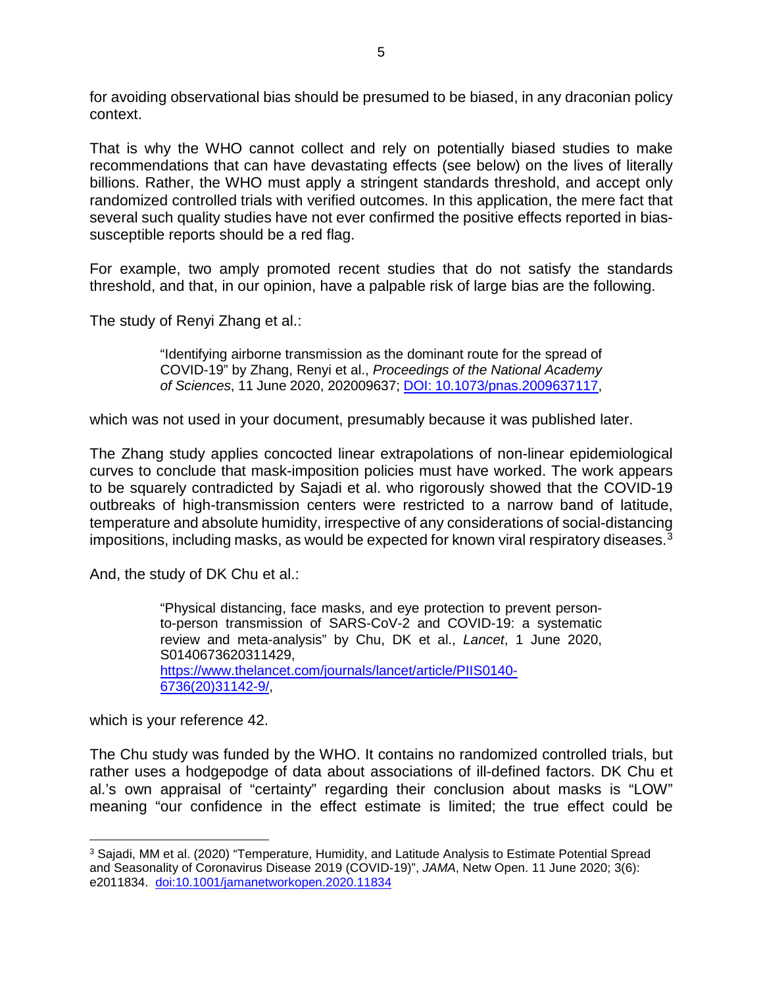for avoiding observational bias should be presumed to be biased, in any draconian policy context.

That is why the WHO cannot collect and rely on potentially biased studies to make recommendations that can have devastating effects (see below) on the lives of literally billions. Rather, the WHO must apply a stringent standards threshold, and accept only randomized controlled trials with verified outcomes. In this application, the mere fact that several such quality studies have not ever confirmed the positive effects reported in biassusceptible reports should be a red flag.

For example, two amply promoted recent studies that do not satisfy the standards threshold, and that, in our opinion, have a palpable risk of large bias are the following.

The study of Renyi Zhang et al.:

"Identifying airborne transmission as the dominant route for the spread of COVID-19" by Zhang, Renyi et al., *Proceedings of the National Academy of Sciences*, 11 June 2020, 202009637; [DOI: 10.1073/pnas.2009637117,](https://www.pnas.org/content/early/2020/06/10/2009637117)

which was not used in your document, presumably because it was published later.

The Zhang study applies concocted linear extrapolations of non-linear epidemiological curves to conclude that mask-imposition policies must have worked. The work appears to be squarely contradicted by Sajadi et al. who rigorously showed that the COVID-19 outbreaks of high-transmission centers were restricted to a narrow band of latitude, temperature and absolute humidity, irrespective of any considerations of social-distancing impositions, including masks, as would be expected for known viral respiratory diseases.[3](#page-4-0)

And, the study of DK Chu et al.:

"Physical distancing, face masks, and eye protection to prevent personto-person transmission of SARS-CoV-2 and COVID-19: a systematic review and meta-analysis" by Chu, DK et al., *Lancet*, 1 June 2020, S0140673620311429, [https://www.thelancet.com/journals/lancet/article/PIIS0140-](https://www.thelancet.com/journals/lancet/article/PIIS0140-6736(20)31142-9/) [6736\(20\)31142-9/,](https://www.thelancet.com/journals/lancet/article/PIIS0140-6736(20)31142-9/)

which is your reference 42.

 $\overline{\phantom{a}}$ 

The Chu study was funded by the WHO. It contains no randomized controlled trials, but rather uses a hodgepodge of data about associations of ill-defined factors. DK Chu et al.'s own appraisal of "certainty" regarding their conclusion about masks is "LOW" meaning "our confidence in the effect estimate is limited; the true effect could be

<span id="page-4-0"></span><sup>3</sup> Sajadi, MM et al. (2020) "Temperature, Humidity, and Latitude Analysis to Estimate Potential Spread and Seasonality of Coronavirus Disease 2019 (COVID-19)", *JAMA*, Netw Open. 11 June 2020; 3(6): e2011834. [doi:10.1001/jamanetworkopen.2020.11834](https://jamanetwork.com/journals/jamanetworkopen/fullarticle/2767010)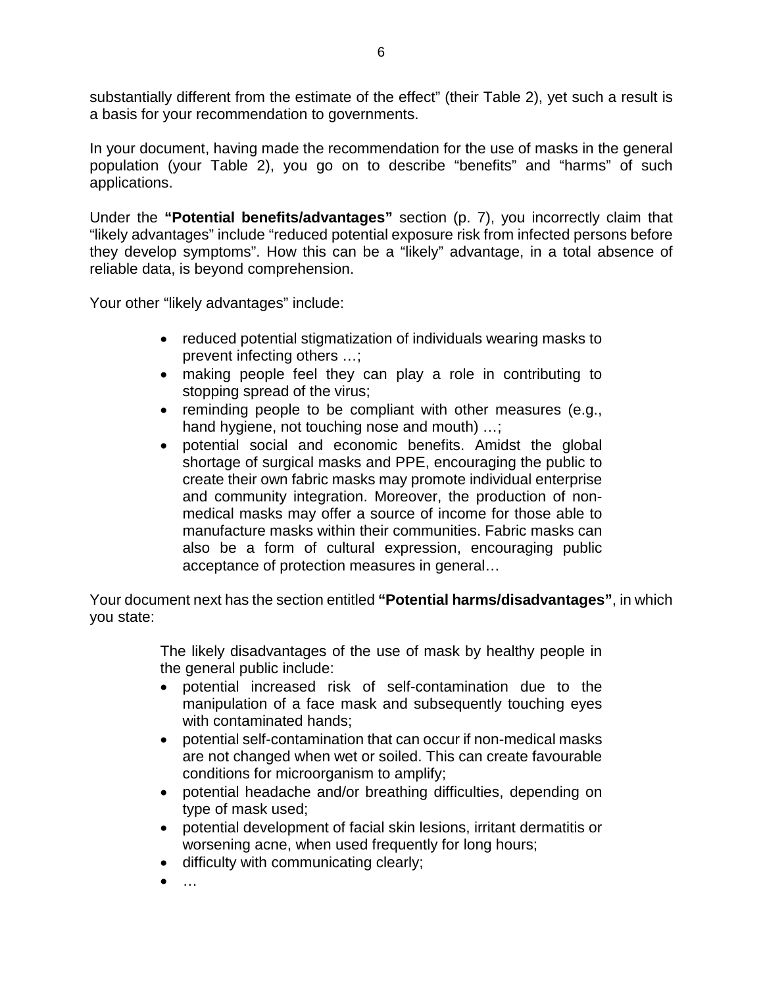substantially different from the estimate of the effect" (their Table 2), yet such a result is a basis for your recommendation to governments.

In your document, having made the recommendation for the use of masks in the general population (your Table 2), you go on to describe "benefits" and "harms" of such applications.

Under the **"Potential benefits/advantages"** section (p. 7), you incorrectly claim that "likely advantages" include "reduced potential exposure risk from infected persons before they develop symptoms". How this can be a "likely" advantage, in a total absence of reliable data, is beyond comprehension.

Your other "likely advantages" include:

- reduced potential stigmatization of individuals wearing masks to prevent infecting others …;
- making people feel they can play a role in contributing to stopping spread of the virus;
- reminding people to be compliant with other measures (e.g., hand hygiene, not touching nose and mouth) ...;
- potential social and economic benefits. Amidst the global shortage of surgical masks and PPE, encouraging the public to create their own fabric masks may promote individual enterprise and community integration. Moreover, the production of nonmedical masks may offer a source of income for those able to manufacture masks within their communities. Fabric masks can also be a form of cultural expression, encouraging public acceptance of protection measures in general…

Your document next has the section entitled **"Potential harms/disadvantages"**, in which you state:

> The likely disadvantages of the use of mask by healthy people in the general public include:

- potential increased risk of self-contamination due to the manipulation of a face mask and subsequently touching eyes with contaminated hands;
- potential self-contamination that can occur if non-medical masks are not changed when wet or soiled. This can create favourable conditions for microorganism to amplify;
- potential headache and/or breathing difficulties, depending on type of mask used;
- potential development of facial skin lesions, irritant dermatitis or worsening acne, when used frequently for long hours;
- difficulty with communicating clearly;
- $\mathbf{r}$  .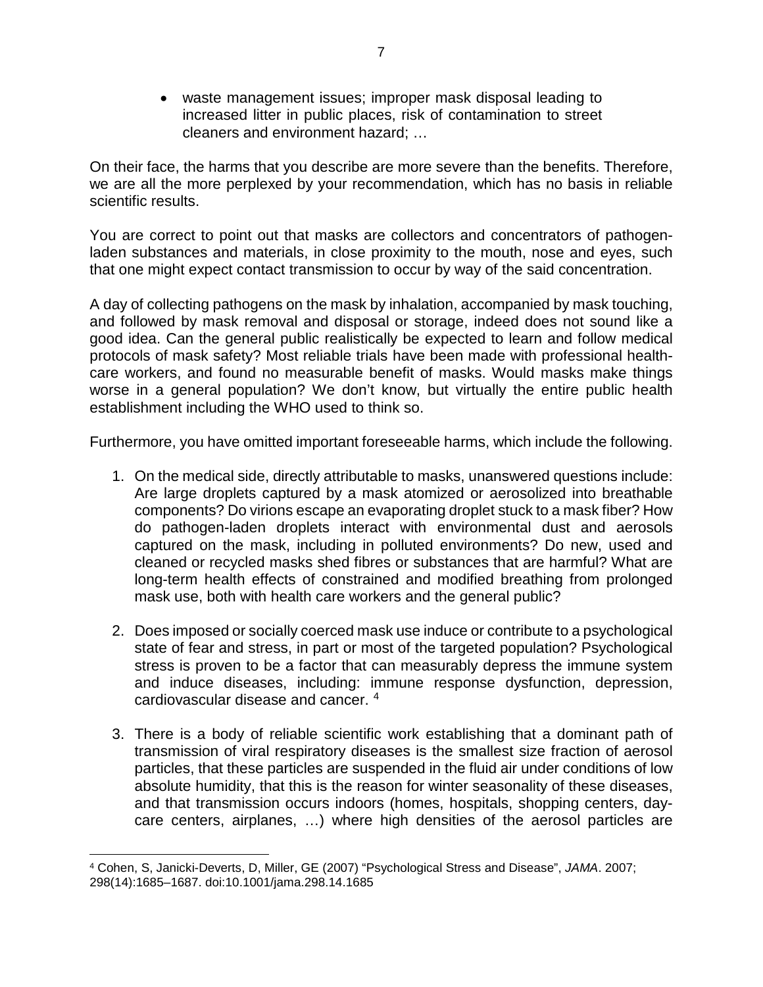• waste management issues; improper mask disposal leading to increased litter in public places, risk of contamination to street cleaners and environment hazard; …

On their face, the harms that you describe are more severe than the benefits. Therefore, we are all the more perplexed by your recommendation, which has no basis in reliable scientific results.

You are correct to point out that masks are collectors and concentrators of pathogenladen substances and materials, in close proximity to the mouth, nose and eyes, such that one might expect contact transmission to occur by way of the said concentration.

A day of collecting pathogens on the mask by inhalation, accompanied by mask touching, and followed by mask removal and disposal or storage, indeed does not sound like a good idea. Can the general public realistically be expected to learn and follow medical protocols of mask safety? Most reliable trials have been made with professional healthcare workers, and found no measurable benefit of masks. Would masks make things worse in a general population? We don't know, but virtually the entire public health establishment including the WHO used to think so.

Furthermore, you have omitted important foreseeable harms, which include the following.

- 1. On the medical side, directly attributable to masks, unanswered questions include: Are large droplets captured by a mask atomized or aerosolized into breathable components? Do virions escape an evaporating droplet stuck to a mask fiber? How do pathogen-laden droplets interact with environmental dust and aerosols captured on the mask, including in polluted environments? Do new, used and cleaned or recycled masks shed fibres or substances that are harmful? What are long-term health effects of constrained and modified breathing from prolonged mask use, both with health care workers and the general public?
- 2. Does imposed or socially coerced mask use induce or contribute to a psychological state of fear and stress, in part or most of the targeted population? Psychological stress is proven to be a factor that can measurably depress the immune system and induce diseases, including: immune response dysfunction, depression, cardiovascular disease and cancer. [4](#page-6-0)
- 3. There is a body of reliable scientific work establishing that a dominant path of transmission of viral respiratory diseases is the smallest size fraction of aerosol particles, that these particles are suspended in the fluid air under conditions of low absolute humidity, that this is the reason for winter seasonality of these diseases, and that transmission occurs indoors (homes, hospitals, shopping centers, daycare centers, airplanes, …) where high densities of the aerosol particles are

<span id="page-6-0"></span>l <sup>4</sup> Cohen, S, Janicki-Deverts, D, Miller, GE (2007) "Psychological Stress and Disease", *JAMA*. 2007; 298(14):1685–1687. doi:10.1001/jama.298.14.1685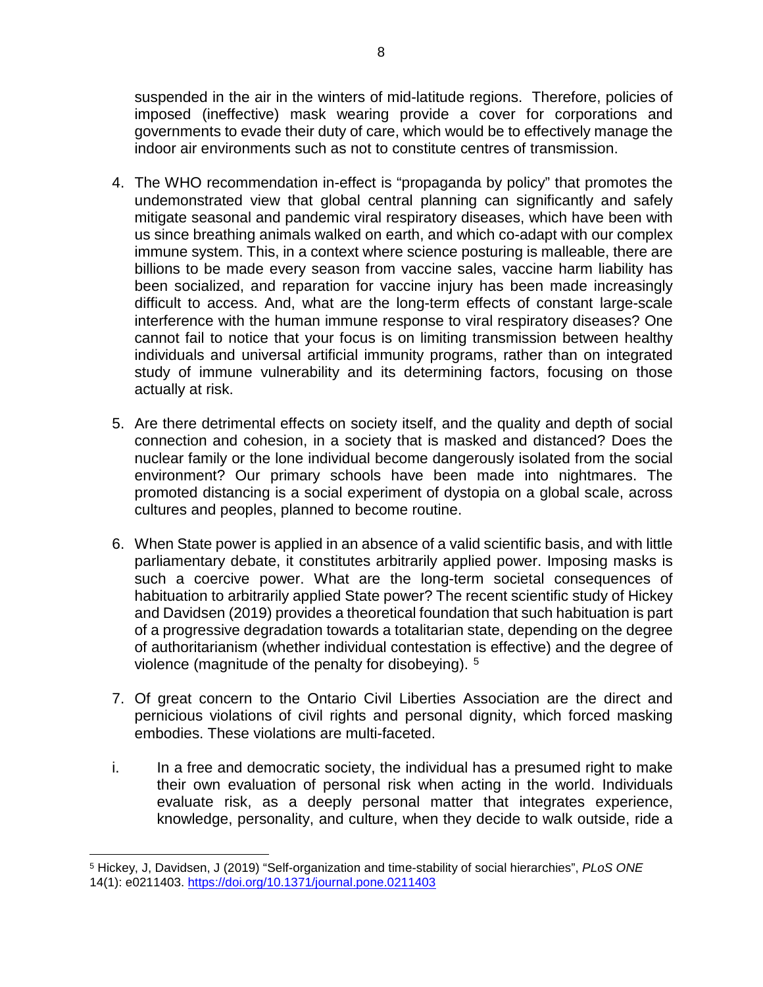suspended in the air in the winters of mid-latitude regions. Therefore, policies of imposed (ineffective) mask wearing provide a cover for corporations and governments to evade their duty of care, which would be to effectively manage the indoor air environments such as not to constitute centres of transmission.

- 4. The WHO recommendation in-effect is "propaganda by policy" that promotes the undemonstrated view that global central planning can significantly and safely mitigate seasonal and pandemic viral respiratory diseases, which have been with us since breathing animals walked on earth, and which co-adapt with our complex immune system. This, in a context where science posturing is malleable, there are billions to be made every season from vaccine sales, vaccine harm liability has been socialized, and reparation for vaccine injury has been made increasingly difficult to access. And, what are the long-term effects of constant large-scale interference with the human immune response to viral respiratory diseases? One cannot fail to notice that your focus is on limiting transmission between healthy individuals and universal artificial immunity programs, rather than on integrated study of immune vulnerability and its determining factors, focusing on those actually at risk.
- 5. Are there detrimental effects on society itself, and the quality and depth of social connection and cohesion, in a society that is masked and distanced? Does the nuclear family or the lone individual become dangerously isolated from the social environment? Our primary schools have been made into nightmares. The promoted distancing is a social experiment of dystopia on a global scale, across cultures and peoples, planned to become routine.
- 6. When State power is applied in an absence of a valid scientific basis, and with little parliamentary debate, it constitutes arbitrarily applied power. Imposing masks is such a coercive power. What are the long-term societal consequences of habituation to arbitrarily applied State power? The recent scientific study of Hickey and Davidsen (2019) provides a theoretical foundation that such habituation is part of a progressive degradation towards a totalitarian state, depending on the degree of authoritarianism (whether individual contestation is effective) and the degree of violence (magnitude of the penalty for disobeying). [5](#page-7-0)
- 7. Of great concern to the Ontario Civil Liberties Association are the direct and pernicious violations of civil rights and personal dignity, which forced masking embodies. These violations are multi-faceted.
- i. In a free and democratic society, the individual has a presumed right to make their own evaluation of personal risk when acting in the world. Individuals evaluate risk, as a deeply personal matter that integrates experience, knowledge, personality, and culture, when they decide to walk outside, ride a

<span id="page-7-0"></span>l <sup>5</sup> Hickey, J, Davidsen, J (2019) "Self-organization and time-stability of social hierarchies", *PLoS ONE* 14(1): e0211403.<https://doi.org/10.1371/journal.pone.0211403>